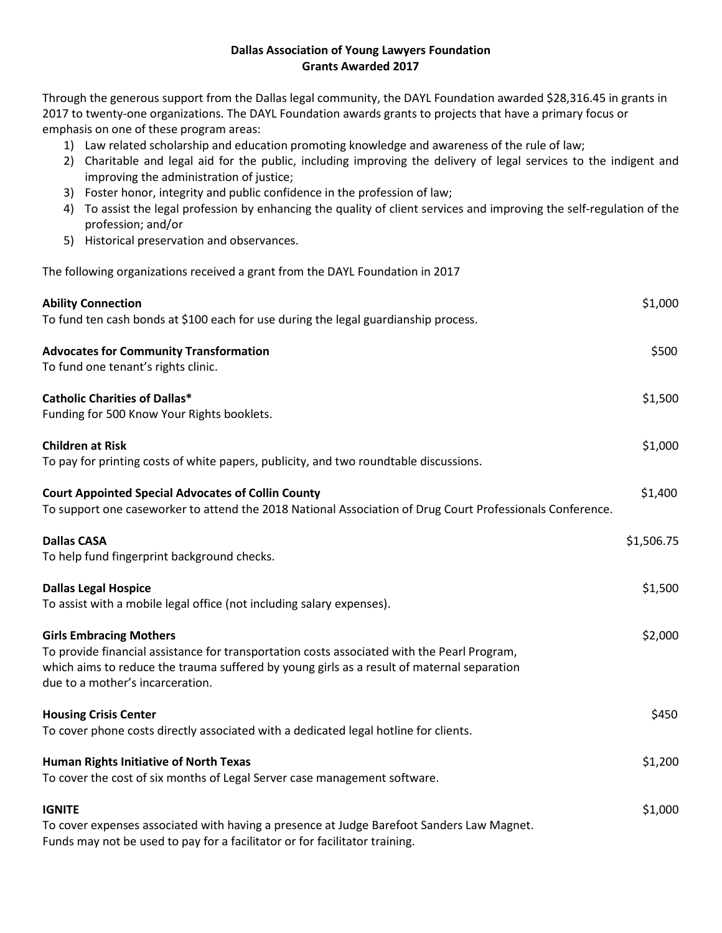## **Dallas Association of Young Lawyers Foundation Grants Awarded 2017**

Through the generous support from the Dallas legal community, the DAYL Foundation awarded \$28,316.45 in grants in 2017 to twenty-one organizations. The DAYL Foundation awards grants to projects that have a primary focus or emphasis on one of these program areas:

- 1) Law related scholarship and education promoting knowledge and awareness of the rule of law;
- 2) Charitable and legal aid for the public, including improving the delivery of legal services to the indigent and improving the administration of justice;
- 3) Foster honor, integrity and public confidence in the profession of law;
- 4) To assist the legal profession by enhancing the quality of client services and improving the self-regulation of the profession; and/or
- 5) Historical preservation and observances.

The following organizations received a grant from the DAYL Foundation in 2017

| <b>Ability Connection</b><br>To fund ten cash bonds at \$100 each for use during the legal guardianship process.                                                                                                                                                | \$1,000    |
|-----------------------------------------------------------------------------------------------------------------------------------------------------------------------------------------------------------------------------------------------------------------|------------|
| <b>Advocates for Community Transformation</b><br>To fund one tenant's rights clinic.                                                                                                                                                                            | \$500      |
| <b>Catholic Charities of Dallas*</b><br>Funding for 500 Know Your Rights booklets.                                                                                                                                                                              | \$1,500    |
| <b>Children at Risk</b><br>To pay for printing costs of white papers, publicity, and two roundtable discussions.                                                                                                                                                | \$1,000    |
| <b>Court Appointed Special Advocates of Collin County</b><br>To support one caseworker to attend the 2018 National Association of Drug Court Professionals Conference.                                                                                          | \$1,400    |
| <b>Dallas CASA</b><br>To help fund fingerprint background checks.                                                                                                                                                                                               | \$1,506.75 |
| <b>Dallas Legal Hospice</b><br>To assist with a mobile legal office (not including salary expenses).                                                                                                                                                            | \$1,500    |
| <b>Girls Embracing Mothers</b><br>To provide financial assistance for transportation costs associated with the Pearl Program,<br>which aims to reduce the trauma suffered by young girls as a result of maternal separation<br>due to a mother's incarceration. | \$2,000    |
| <b>Housing Crisis Center</b><br>To cover phone costs directly associated with a dedicated legal hotline for clients.                                                                                                                                            | \$450      |
| Human Rights Initiative of North Texas<br>To cover the cost of six months of Legal Server case management software.                                                                                                                                             | \$1,200    |
| <b>IGNITE</b><br>To cover expenses associated with having a presence at Judge Barefoot Sanders Law Magnet.<br>Funds may not be used to pay for a facilitator or for facilitator training.                                                                       | \$1,000    |